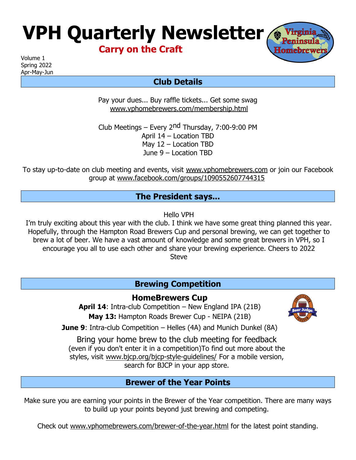# **VPH Quarterly Newsletter**

**Carry on the Craft**

Volume 1 Spring 2022

Apr-May-Jun

# **Club Details**

Pay your dues... Buy raffle tickets... Get some swag [www.vphomebrewers.com/membership.html](http://www.vphomebrewers.com/membership.html)

Club Meetings – Every 2nd Thursday, 7:00-9:00 PM April 14 – Location TBD May 12 – Location TBD June 9 – Location TBD

To stay up-to-date on club meeting and events, visit [www.vphomebrewers.com](http://www.vphomebrewers.com/) or join our Facebook group at [www.facebook.com/groups/1090552607744315](http://www.facebook.com/groups/1090552607744315)

### **The President says...**

Hello VPH

I'm truly exciting about this year with the club. I think we have some great thing planned this year. Hopefully, through the Hampton Road Brewers Cup and personal brewing, we can get together to brew a lot of beer. We have a vast amount of knowledge and some great brewers in VPH, so I encourage you all to use each other and share your brewing experience. Cheers to 2022 **Steve** 

# **Brewing Competition**

**HomeBrewers Cup**

**April 14**: Intra-club Competition – New England IPA (21B) **May 13:** Hampton Roads Brewer Cup - NEIPA (21B)

**June 9:** Intra-club Competition – Helles (4A) and Munich Dunkel (8A)

Bring your home brew to the club meeting for feedback (even if you don't enter it in a competition)To find out more about the styles, visit [www.bjcp.org/bjcp-style-guidelines/](http://www.bjcp.org/bjcp-style-guidelines/) For a mobile version, search for BJCP in your app store.

## **Brewer of the Year Points**

Make sure you are earning your points in the Brewer of the Year competition. There are many ways to build up your points beyond just brewing and competing.

Check out [www.vphomebrewers.com/brewer-of-the-year.html](http://www.vphomebrewers.com/brewer-of-the-year.html) for the latest point standing.